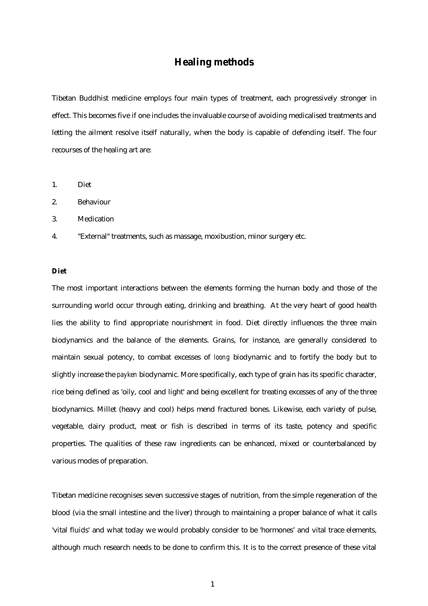# **Healing methods**

Tibetan Buddhist medicine employs four main types of treatment, each progressively stronger in effect. This becomes five if one includes the invaluable course of avoiding medicalised treatments and letting the ailment resolve itself naturally, when the body is capable of defending itself. The four recourses of the healing art are:

- 1. Diet
- 2. Behaviour
- 3. Medication

4. "External" treatments, such as massage, moxibustion, minor surgery etc.

### **Diet**

The most important interactions between the elements forming the human body and those of the surrounding world occur through eating, drinking and breathing. At the very heart of good health lies the ability to find appropriate nourishment in food. Diet directly influences the three main biodynamics and the balance of the elements. Grains, for instance, are generally considered to maintain sexual potency, to combat excesses of *loong* biodynamic and to fortify the body but to slightly increase the *payken* biodynamic. More specifically, each type of grain has its specific character, rice being defined as 'oily, cool and light' and being excellent for treating excesses of any of the three biodynamics. Millet (heavy and cool) helps mend fractured bones. Likewise, each variety of pulse, vegetable, dairy product, meat or fish is described in terms of its taste, potency and specific properties. The qualities of these raw ingredients can be enhanced, mixed or counterbalanced by various modes of preparation.

Tibetan medicine recognises seven successive stages of nutrition, from the simple regeneration of the blood (via the small intestine and the liver) through to maintaining a proper balance of what it calls 'vital fluids' and what today we would probably consider to be 'hormones' and vital trace elements, although much research needs to be done to confirm this. It is to the correct presence of these vital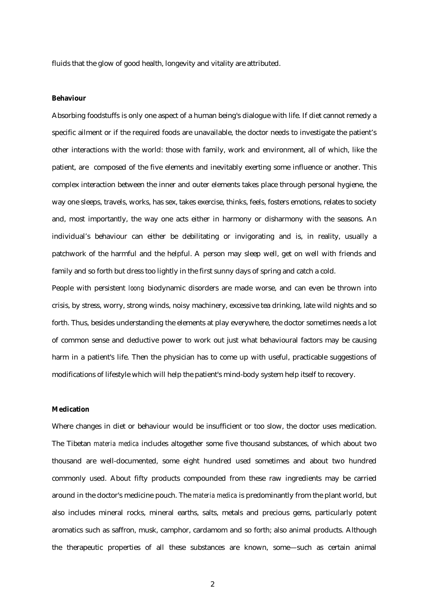fluids that the glow of good health, longevity and vitality are attributed.

#### **Behaviour**

Absorbing foodstuffs is only one aspect of a human being's dialogue with life. If diet cannot remedy a specific ailment or if the required foods are unavailable, the doctor needs to investigate the patient's other interactions with the world: those with family, work and environment, all of which, like the patient, are composed of the five elements and inevitably exerting some influence or another. This complex interaction between the inner and outer elements takes place through personal hygiene, the way one sleeps, travels, works, has sex, takes exercise, thinks, feels, fosters emotions, relates to society and, most importantly, the way one acts either in harmony or disharmony with the seasons. An individual's behaviour can either be debilitating or invigorating and is, in reality, usually a patchwork of the harmful and the helpful. A person may sleep well, get on well with friends and family and so forth but dress too lightly in the first sunny days of spring and catch a cold.

People with persistent *loong* biodynamic disorders are made worse, and can even be thrown into crisis, by stress, worry, strong winds, noisy machinery, excessive tea drinking, late wild nights and so forth. Thus, besides understanding the elements at play everywhere, the doctor sometimes needs a lot of common sense and deductive power to work out just what behavioural factors may be causing harm in a patient's life. Then the physician has to come up with useful, practicable suggestions of modifications of lifestyle which will help the patient's mind-body system help itself to recovery.

#### **Medication**

Where changes in diet or behaviour would be insufficient or too slow, the doctor uses medication. The Tibetan *materia medica* includes altogether some five thousand substances, of which about two thousand are well-documented, some eight hundred used sometimes and about two hundred commonly used. About fifty products compounded from these raw ingredients may be carried around in the doctor's medicine pouch. The *materia medica* is predominantly from the plant world, but also includes mineral rocks, mineral earths, salts, metals and precious gems, particularly potent aromatics such as saffron, musk, camphor, cardamom and so forth; also animal products. Although the therapeutic properties of all these substances are known, some—such as certain animal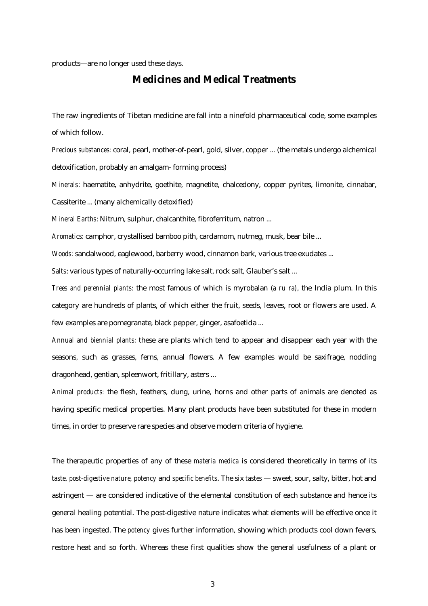products—are no longer used these days.

## **Medicines and Medical Treatments**

The raw ingredients of Tibetan medicine are fall into a ninefold pharmaceutical code, some examples of which follow.

*Precious substances:* coral, pearl, mother-of-pearl, gold, silver, copper ... (the metals undergo alchemical detoxification, probably an amalgam- forming process)

*Minerals*: haematite, anhydrite, goethite, magnetite, chalcedony, copper pyrites, limonite, cinnabar, Cassiterite ... (many alchemically detoxified)

*Mineral Earths*: Nitrum, sulphur, chalcanthite, fibroferritum, natron ...

*Aromatics:* camphor, crystallised bamboo pith, cardamom, nutmeg, musk, bear bile ...

*Woods:* sandalwood, eaglewood, barberry wood, cinnamon bark*,* various tree exudates ...

*Salts*: various types of naturally-occurring lake salt, rock salt, Glauber's salt ...

*Trees and perennial plants:* the most famous of which is myrobalan (*a ru ra)*, the India plum. In this category are hundreds of plants, of which either the fruit, seeds, leaves, root or flowers are used. A few examples are pomegranate, black pepper, ginger, asafoetida ...

*Annual and biennial plants:* these are plants which tend to appear and disappear each year with the seasons, such as grasses, ferns, annual flowers. A few examples would be saxifrage, nodding dragonhead, gentian, spleenwort, fritillary, asters ...

*Animal products:* the flesh, feathers, dung, urine, horns and other parts of animals are denoted as having specific medical properties. Many plant products have been substituted for these in modern times, in order to preserve rare species and observe modern criteria of hygiene.

The therapeutic properties of any of these *materia medica* is considered theoretically in terms of its *taste, post-digestive nature, potency* and *specific benefits*. The six *tastes* — sweet, sour, salty, bitter, hot and astringent — are considered indicative of the elemental constitution of each substance and hence its general healing potential. The post-digestive nature indicates what elements will be effective once it has been ingested. The *potency* gives further information, showing which products cool down fevers, restore heat and so forth. Whereas these first qualities show the general usefulness of a plant or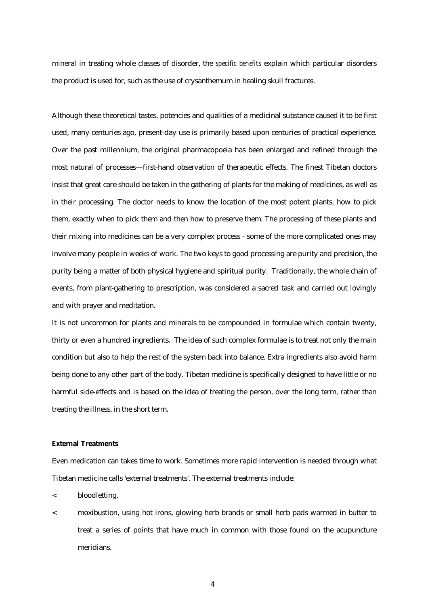mineral in treating whole classes of disorder, the *specific benefits* explain which particular disorders the product is used for, such as the use of crysanthemum in healing skull fractures.

Although these theoretical tastes, potencies and qualities of a medicinal substance caused it to be first used, many centuries ago, present-day use is primarily based upon centuries of practical experience. Over the past millennium, the original pharmacopoeia has been enlarged and refined through the most natural of processes—first-hand observation of therapeutic effects. The finest Tibetan doctors insist that great care should be taken in the gathering of plants for the making of medicines, as well as in their processing. The doctor needs to know the location of the most potent plants, how to pick them, exactly when to pick them and then how to preserve them. The processing of these plants and their mixing into medicines can be a very complex process - some of the more complicated ones may involve many people in weeks of work. The two keys to good processing are purity and precision, the purity being a matter of both physical hygiene and spiritual purity. Traditionally, the whole chain of events, from plant-gathering to prescription, was considered a sacred task and carried out lovingly and with prayer and meditation.

It is not uncommon for plants and minerals to be compounded in formulae which contain twenty, thirty or even a hundred ingredients. The idea of such complex formulae is to treat not only the main condition but also to help the rest of the system back into balance. Extra ingredients also avoid harm being done to any other part of the body. Tibetan medicine is specifically designed to have little or no harmful side-effects and is based on the idea of treating the person, over the long term, rather than treating the illness, in the short term.

## **External Treatments**

Even medication can takes time to work. Sometimes more rapid intervention is needed through what Tibetan medicine calls 'external treatments'. The external treatments include:

- < bloodletting,
- < moxibustion, using hot irons, glowing herb brands or small herb pads warmed in butter to treat a series of points that have much in common with those found on the acupuncture meridians.